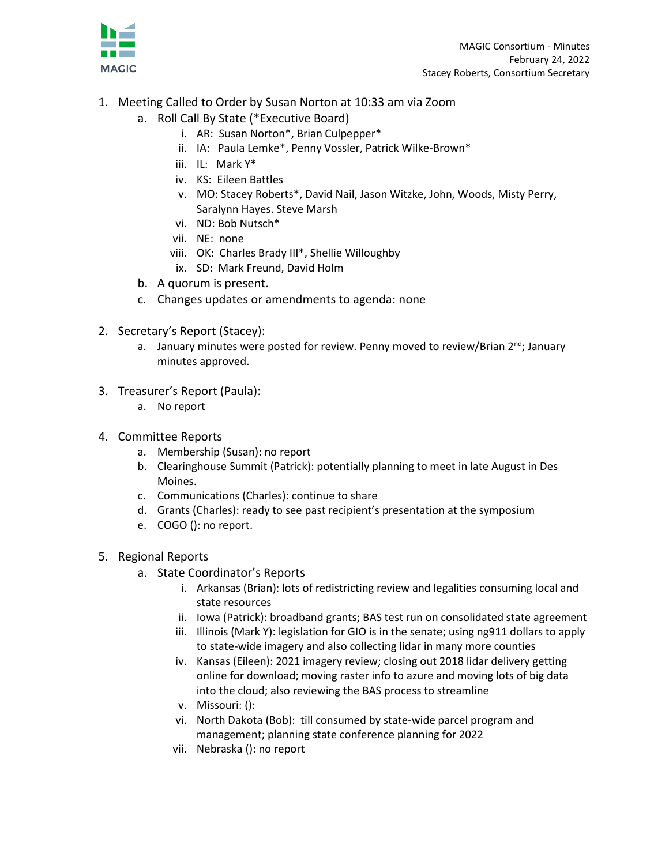

- 1. Meeting Called to Order by Susan Norton at 10:33 am via Zoom
	- a. Roll Call By State (\*Executive Board)
		- i. AR: Susan Norton\*, Brian Culpepper\*
		- ii. IA: Paula Lemke\*, Penny Vossler, Patrick Wilke-Brown\*
		- iii. IL: Mark Y\*
		- iv. KS: Eileen Battles
		- v. MO: Stacey Roberts\*, David Nail, Jason Witzke, John, Woods, Misty Perry, Saralynn Hayes. Steve Marsh
		- vi. ND: Bob Nutsch\*
		- vii. NE: none
		- viii. OK: Charles Brady III\*, Shellie Willoughby
		- ix. SD: Mark Freund, David Holm
	- b. A quorum is present.
	- c. Changes updates or amendments to agenda: none
- 2. Secretary's Report (Stacey):
	- a. January minutes were posted for review. Penny moved to review/Brian  $2^{nd}$ ; January minutes approved.
- 3. Treasurer's Report (Paula):
	- a. No report
- 4. Committee Reports
	- a. Membership (Susan): no report
	- b. Clearinghouse Summit (Patrick): potentially planning to meet in late August in Des Moines.
	- c. Communications (Charles): continue to share
	- d. Grants (Charles): ready to see past recipient's presentation at the symposium
	- e. COGO (): no report.
- 5. Regional Reports
	- a. State Coordinator's Reports
		- i. Arkansas (Brian): lots of redistricting review and legalities consuming local and state resources
		- ii. Iowa (Patrick): broadband grants; BAS test run on consolidated state agreement
		- iii. Illinois (Mark Y): legislation for GIO is in the senate; using ng911 dollars to apply to state-wide imagery and also collecting lidar in many more counties
		- iv. Kansas (Eileen): 2021 imagery review; closing out 2018 lidar delivery getting online for download; moving raster info to azure and moving lots of big data into the cloud; also reviewing the BAS process to streamline
		- v. Missouri: ():
		- vi. North Dakota (Bob): till consumed by state-wide parcel program and management; planning state conference planning for 2022
		- vii. Nebraska (): no report